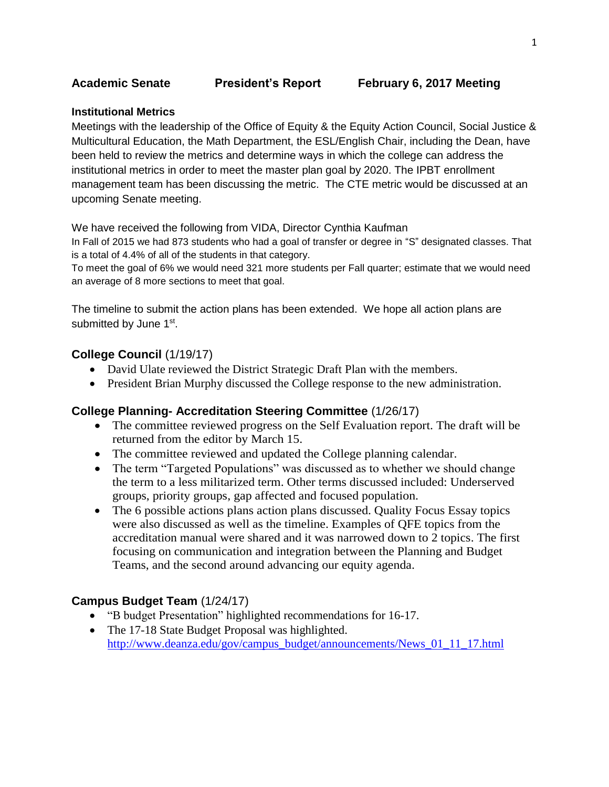#### **Institutional Metrics**

Meetings with the leadership of the Office of Equity & the Equity Action Council, Social Justice & Multicultural Education, the Math Department, the ESL/English Chair, including the Dean, have been held to review the metrics and determine ways in which the college can address the institutional metrics in order to meet the master plan goal by 2020. The IPBT enrollment management team has been discussing the metric. The CTE metric would be discussed at an upcoming Senate meeting.

We have received the following from VIDA, Director Cynthia Kaufman

In Fall of 2015 we had 873 students who had a goal of transfer or degree in "S" designated classes. That is a total of 4.4% of all of the students in that category.

To meet the goal of 6% we would need 321 more students per Fall quarter; estimate that we would need an average of 8 more sections to meet that goal.

The timeline to submit the action plans has been extended. We hope all action plans are submitted by June 1<sup>st</sup>.

## **College Council** (1/19/17)

- David Ulate reviewed the District Strategic Draft Plan with the members.
- President Brian Murphy discussed the College response to the new administration.

#### **College Planning- Accreditation Steering Committee** (1/26/17)

- The committee reviewed progress on the Self Evaluation report. The draft will be returned from the editor by March 15.
- The committee reviewed and updated the College planning calendar.
- The term "Targeted Populations" was discussed as to whether we should change the term to a less militarized term. Other terms discussed included: Underserved groups, priority groups, gap affected and focused population.
- The 6 possible actions plans action plans discussed. Quality Focus Essay topics were also discussed as well as the timeline. Examples of QFE topics from the accreditation manual were shared and it was narrowed down to 2 topics. The first focusing on communication and integration between the Planning and Budget Teams, and the second around advancing our equity agenda.

## **Campus Budget Team** (1/24/17)

- "B budget Presentation" highlighted recommendations for 16-17.
- The 17-18 State Budget Proposal was highlighted. [http://www.deanza.edu/gov/campus\\_budget/announcements/News\\_01\\_11\\_17.html](http://www.deanza.edu/gov/campus_budget/announcements/News_01_11_17.html)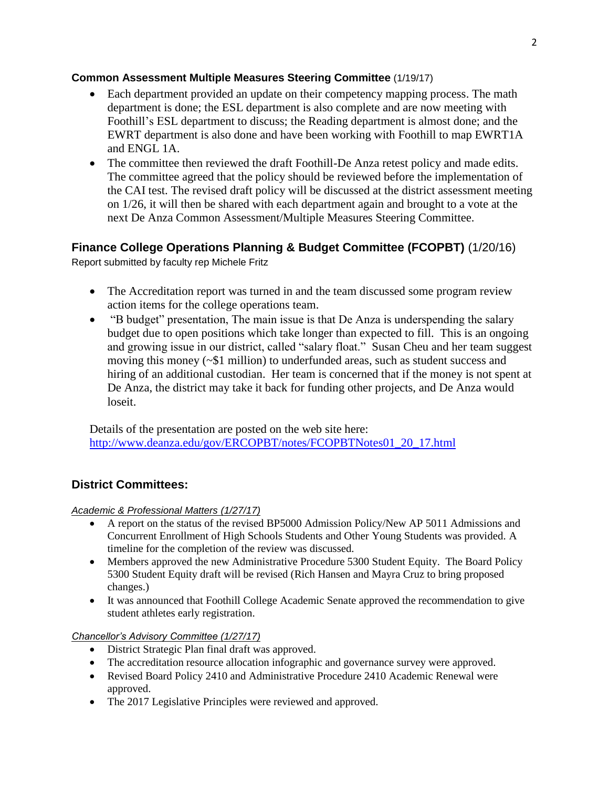## **Common Assessment Multiple Measures Steering Committee** (1/19/17)

- Each department provided an update on their competency mapping process. The math department is done; the ESL department is also complete and are now meeting with Foothill's ESL department to discuss; the Reading department is almost done; and the EWRT department is also done and have been working with Foothill to map EWRT1A and ENGL 1A.
- The committee then reviewed the draft Foothill-De Anza retest policy and made edits. The committee agreed that the policy should be reviewed before the implementation of the CAI test. The revised draft policy will be discussed at the district assessment meeting on 1/26, it will then be shared with each department again and brought to a vote at the next De Anza Common Assessment/Multiple Measures Steering Committee.

# **Finance College Operations Planning & Budget Committee (FCOPBT)** (1/20/16)

Report submitted by faculty rep Michele Fritz

- The Accreditation report was turned in and the team discussed some program review action items for the college operations team.
- "B budget" presentation, The main issue is that De Anza is underspending the salary budget due to open positions which take longer than expected to fill. This is an ongoing and growing issue in our district, called "salary float." Susan Cheu and her team suggest moving this money (~\$1 million) to underfunded areas, such as student success and hiring of an additional custodian. Her team is concerned that if the money is not spent at De Anza, the district may take it back for funding other projects, and De Anza would loseit.

Details of the presentation are posted on the web site here: [http://www.deanza.edu/gov/ERCOPBT/notes/FCOPBTNotes01\\_20\\_17.html](https://email.fhda.edu/owa/redir.aspx?C=lUS2FKd7XvGAn0ctGyyDh9ZPJHmD19Tq-NKvQVtIffzJlPIFyEbUCA..&URL=http%3a%2f%2fwww.deanza.edu%2fgov%2fERCOPBT%2fnotes%2fFCOPBTNotes01_20_17.html)

# **District Committees:**

## *Academic & Professional Matters (1/27/17)*

- A report on the status of the revised BP5000 Admission Policy/New AP 5011 Admissions and Concurrent Enrollment of High Schools Students and Other Young Students was provided. A timeline for the completion of the review was discussed.
- Members approved the new Administrative Procedure 5300 Student Equity. The Board Policy 5300 Student Equity draft will be revised (Rich Hansen and Mayra Cruz to bring proposed changes.)
- It was announced that Foothill College Academic Senate approved the recommendation to give student athletes early registration.

## *Chancellor's Advisory Committee (1/27/17)*

- District Strategic Plan final draft was approved.
- The accreditation resource allocation infographic and governance survey were approved.
- Revised Board Policy 2410 and Administrative Procedure 2410 Academic Renewal were approved.
- The 2017 Legislative Principles were reviewed and approved.